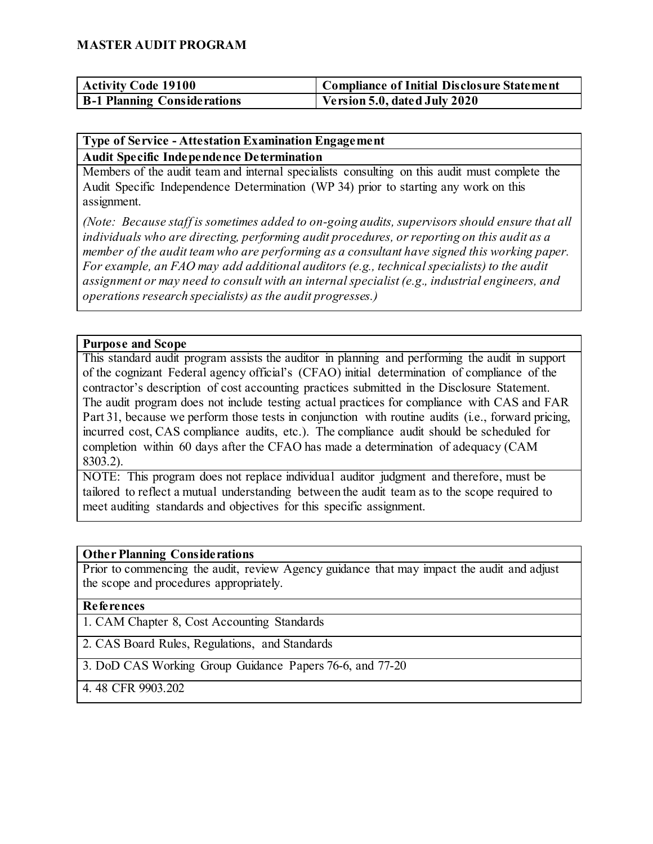| <b>Activity Code 19100</b>         | Compliance of Initial Disclosure Statement |
|------------------------------------|--------------------------------------------|
| <b>B-1 Planning Considerations</b> | Version 5.0, dated July 2020               |

### **Type of Service - Attestation Examination Engagement**

**Audit Specific Independence Determination**

Members of the audit team and internal specialists consulting on this audit must complete the Audit Specific Independence Determination (WP 34) prior to starting any work on this assignment.

*(Note: Because staff is sometimes added to on-going audits, supervisors should ensure that all individuals who are directing, performing audit procedures, or reporting on this audit as a member of the audit team who are performing as a consultant have signed this working paper. For example, an FAO may add additional auditors (e.g., technical specialists) to the audit assignment or may need to consult with an internal specialist (e.g., industrial engineers, and operations research specialists) as the audit progresses.)*

#### **Purpose and Scope**

This standard audit program assists the auditor in planning and performing the audit in support of the cognizant Federal agency official's (CFAO) initial determination of compliance of the contractor's description of cost accounting practices submitted in the Disclosure Statement. The audit program does not include testing actual practices for compliance with CAS and FAR Part 31, because we perform those tests in conjunction with routine audits (i.e., forward pricing, incurred cost, CAS compliance audits, etc.). The compliance audit should be scheduled for completion within 60 days after the CFAO has made a determination of adequacy (CAM 8303.2).

NOTE: This program does not replace individual auditor judgment and therefore, must be tailored to reflect a mutual understanding between the audit team as to the scope required to meet auditing standards and objectives for this specific assignment.

#### **Other Planning Considerations**

Prior to commencing the audit, review Agency guidance that may impact the audit and adjust the scope and procedures appropriately.

#### **References**

1. CAM Chapter 8, Cost Accounting Standards

2. CAS Board Rules, Regulations, and Standards

3. DoD CAS Working Group Guidance Papers 76-6, and 77-20

4. 48 CFR 9903.202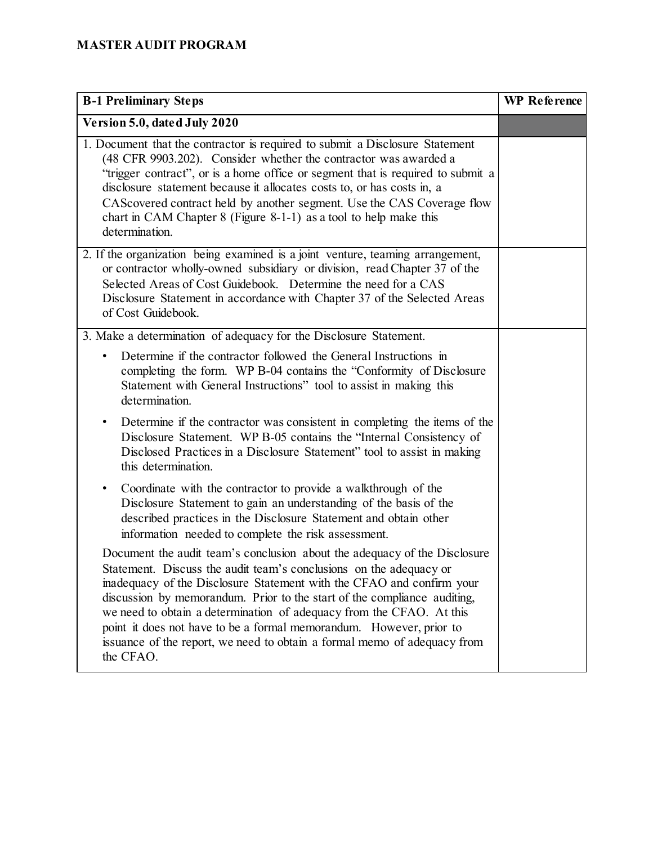| <b>B-1 Preliminary Steps</b>                                                                                                                                                                                                                                                                                                                                                                                                                                                                                                                 | <b>WP</b> Reference |
|----------------------------------------------------------------------------------------------------------------------------------------------------------------------------------------------------------------------------------------------------------------------------------------------------------------------------------------------------------------------------------------------------------------------------------------------------------------------------------------------------------------------------------------------|---------------------|
| Version 5.0, dated July 2020                                                                                                                                                                                                                                                                                                                                                                                                                                                                                                                 |                     |
| 1. Document that the contractor is required to submit a Disclosure Statement<br>(48 CFR 9903.202). Consider whether the contractor was awarded a<br>"trigger contract", or is a home office or segment that is required to submit a<br>disclosure statement because it allocates costs to, or has costs in, a<br>CAS covered contract held by another segment. Use the CAS Coverage flow<br>chart in CAM Chapter $8$ (Figure 8-1-1) as a tool to help make this<br>determination.                                                            |                     |
| 2. If the organization being examined is a joint venture, teaming arrangement,<br>or contractor wholly-owned subsidiary or division, read Chapter 37 of the<br>Selected Areas of Cost Guidebook. Determine the need for a CAS<br>Disclosure Statement in accordance with Chapter 37 of the Selected Areas<br>of Cost Guidebook.                                                                                                                                                                                                              |                     |
| 3. Make a determination of adequacy for the Disclosure Statement.                                                                                                                                                                                                                                                                                                                                                                                                                                                                            |                     |
| Determine if the contractor followed the General Instructions in<br>$\bullet$<br>completing the form. WP B-04 contains the "Conformity of Disclosure"<br>Statement with General Instructions" tool to assist in making this<br>determination.                                                                                                                                                                                                                                                                                                |                     |
| Determine if the contractor was consistent in completing the items of the<br>٠<br>Disclosure Statement. WP B-05 contains the "Internal Consistency of<br>Disclosed Practices in a Disclosure Statement" tool to assist in making<br>this determination.                                                                                                                                                                                                                                                                                      |                     |
| Coordinate with the contractor to provide a walkthrough of the<br>٠<br>Disclosure Statement to gain an understanding of the basis of the<br>described practices in the Disclosure Statement and obtain other<br>information needed to complete the risk assessment.                                                                                                                                                                                                                                                                          |                     |
| Document the audit team's conclusion about the adequacy of the Disclosure<br>Statement. Discuss the audit team's conclusions on the adequacy or<br>inadequacy of the Disclosure Statement with the CFAO and confirm your<br>discussion by memorandum. Prior to the start of the compliance auditing,<br>we need to obtain a determination of adequacy from the CFAO. At this<br>point it does not have to be a formal memorandum. However, prior to<br>issuance of the report, we need to obtain a formal memo of adequacy from<br>the CFAO. |                     |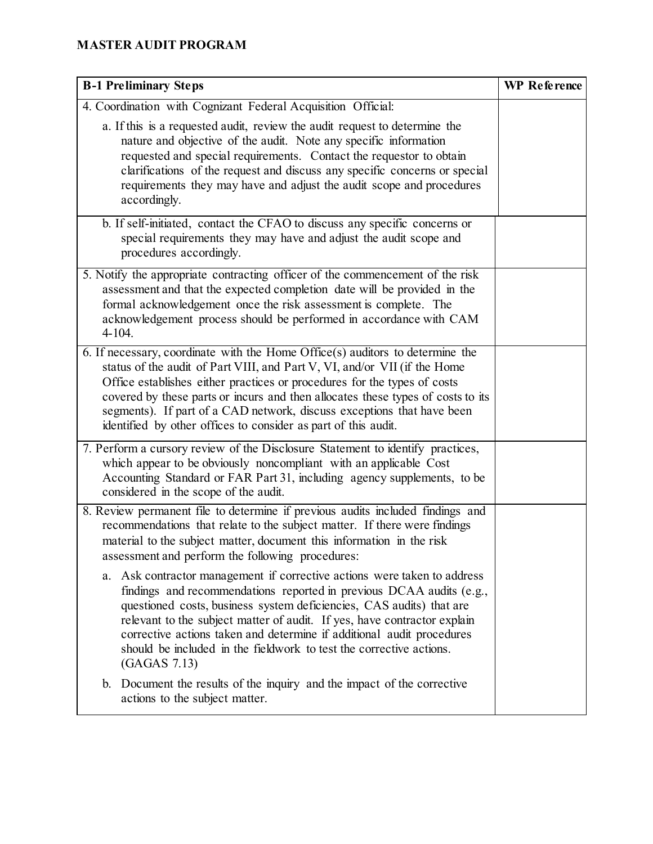| <b>B-1 Preliminary Steps</b>                                                                                                                                                                                                                                                                                                                                                                                                                                                                                                                                                                                                                                                                                                                        | <b>WP</b> Reference |
|-----------------------------------------------------------------------------------------------------------------------------------------------------------------------------------------------------------------------------------------------------------------------------------------------------------------------------------------------------------------------------------------------------------------------------------------------------------------------------------------------------------------------------------------------------------------------------------------------------------------------------------------------------------------------------------------------------------------------------------------------------|---------------------|
| 4. Coordination with Cognizant Federal Acquisition Official:                                                                                                                                                                                                                                                                                                                                                                                                                                                                                                                                                                                                                                                                                        |                     |
| a. If this is a requested audit, review the audit request to determine the<br>nature and objective of the audit. Note any specific information<br>requested and special requirements. Contact the requestor to obtain<br>clarifications of the request and discuss any specific concerns or special<br>requirements they may have and adjust the audit scope and procedures<br>accordingly.                                                                                                                                                                                                                                                                                                                                                         |                     |
| b. If self-initiated, contact the CFAO to discuss any specific concerns or<br>special requirements they may have and adjust the audit scope and<br>procedures accordingly.                                                                                                                                                                                                                                                                                                                                                                                                                                                                                                                                                                          |                     |
| 5. Notify the appropriate contracting officer of the commencement of the risk<br>assessment and that the expected completion date will be provided in the<br>formal acknowledgement once the risk assessment is complete. The<br>acknowledgement process should be performed in accordance with CAM<br>$4 - 104.$                                                                                                                                                                                                                                                                                                                                                                                                                                   |                     |
| 6. If necessary, coordinate with the Home Office $(s)$ auditors to determine the<br>status of the audit of Part VIII, and Part V, VI, and/or VII (if the Home<br>Office establishes either practices or procedures for the types of costs<br>covered by these parts or incurs and then allocates these types of costs to its<br>segments). If part of a CAD network, discuss exceptions that have been<br>identified by other offices to consider as part of this audit.                                                                                                                                                                                                                                                                            |                     |
| 7. Perform a cursory review of the Disclosure Statement to identify practices,<br>which appear to be obviously noncompliant with an applicable Cost<br>Accounting Standard or FAR Part 31, including agency supplements, to be<br>considered in the scope of the audit.                                                                                                                                                                                                                                                                                                                                                                                                                                                                             |                     |
| 8. Review permanent file to determine if previous audits included findings and<br>recommendations that relate to the subject matter. If there were findings<br>material to the subject matter, document this information in the risk<br>assessment and perform the following procedures:<br>Ask contractor management if corrective actions were taken to address<br>a.<br>findings and recommendations reported in previous DCAA audits (e.g.,<br>questioned costs, business system deficiencies, CAS audits) that are<br>relevant to the subject matter of audit. If yes, have contractor explain<br>corrective actions taken and determine if additional audit procedures<br>should be included in the fieldwork to test the corrective actions. |                     |
| (GAGAS 7.13)<br>b. Document the results of the inquiry and the impact of the corrective<br>actions to the subject matter.                                                                                                                                                                                                                                                                                                                                                                                                                                                                                                                                                                                                                           |                     |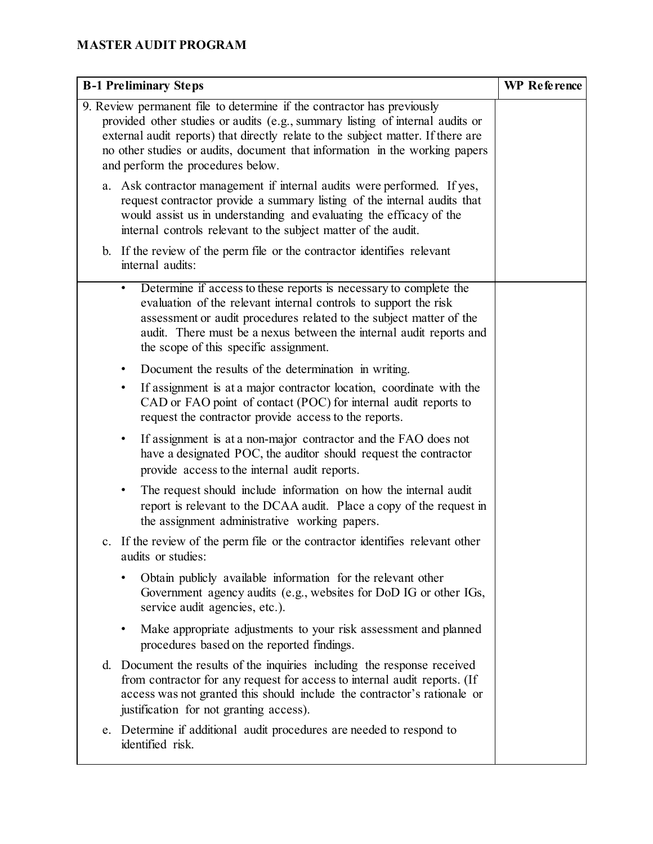| <b>B-1 Preliminary Steps</b>                                                                                                                                                                                                                                                                                                                                    | WP Reference |
|-----------------------------------------------------------------------------------------------------------------------------------------------------------------------------------------------------------------------------------------------------------------------------------------------------------------------------------------------------------------|--------------|
| 9. Review permanent file to determine if the contractor has previously<br>provided other studies or audits (e.g., summary listing of internal audits or<br>external audit reports) that directly relate to the subject matter. If there are<br>no other studies or audits, document that information in the working papers<br>and perform the procedures below. |              |
| a. Ask contractor management if internal audits were performed. If yes,<br>request contractor provide a summary listing of the internal audits that<br>would assist us in understanding and evaluating the efficacy of the<br>internal controls relevant to the subject matter of the audit.                                                                    |              |
| b. If the review of the perm file or the contractor identifies relevant<br>internal audits:                                                                                                                                                                                                                                                                     |              |
| Determine if access to these reports is necessary to complete the<br>$\bullet$<br>evaluation of the relevant internal controls to support the risk<br>assessment or audit procedures related to the subject matter of the<br>audit. There must be a nexus between the internal audit reports and<br>the scope of this specific assignment.                      |              |
| Document the results of the determination in writing.<br>If assignment is at a major contractor location, coordinate with the<br>٠<br>CAD or FAO point of contact (POC) for internal audit reports to<br>request the contractor provide access to the reports.                                                                                                  |              |
| If assignment is at a non-major contractor and the FAO does not<br>$\bullet$<br>have a designated POC, the auditor should request the contractor<br>provide access to the internal audit reports.                                                                                                                                                               |              |
| The request should include information on how the internal audit<br>٠<br>report is relevant to the DCAA audit. Place a copy of the request in<br>the assignment administrative working papers.                                                                                                                                                                  |              |
| c. If the review of the perm file or the contractor identifies relevant other<br>audits or studies:                                                                                                                                                                                                                                                             |              |
| Obtain publicly available information for the relevant other<br>Government agency audits (e.g., websites for DoD IG or other IGs,<br>service audit agencies, etc.).                                                                                                                                                                                             |              |
| Make appropriate adjustments to your risk assessment and planned<br>٠<br>procedures based on the reported findings.                                                                                                                                                                                                                                             |              |
| d. Document the results of the inquiries including the response received<br>from contractor for any request for access to internal audit reports. (If<br>access was not granted this should include the contractor's rationale or<br>justification for not granting access).                                                                                    |              |
| e. Determine if additional audit procedures are needed to respond to<br>identified risk.                                                                                                                                                                                                                                                                        |              |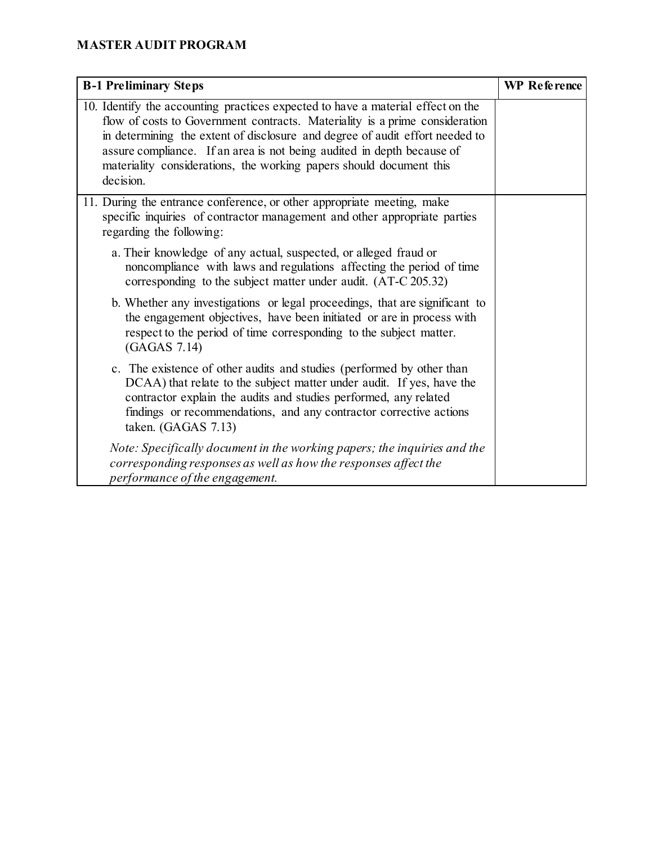| <b>B-1 Preliminary Steps</b>                                                                                                                                                                                                                                                                                                                                                                                 | <b>WP</b> Reference |
|--------------------------------------------------------------------------------------------------------------------------------------------------------------------------------------------------------------------------------------------------------------------------------------------------------------------------------------------------------------------------------------------------------------|---------------------|
| 10. Identify the accounting practices expected to have a material effect on the<br>flow of costs to Government contracts. Materiality is a prime consideration<br>in determining the extent of disclosure and degree of audit effort needed to<br>assure compliance. If an area is not being audited in depth because of<br>materiality considerations, the working papers should document this<br>decision. |                     |
| 11. During the entrance conference, or other appropriate meeting, make<br>specific inquiries of contractor management and other appropriate parties<br>regarding the following:                                                                                                                                                                                                                              |                     |
| a. Their knowledge of any actual, suspected, or alleged fraud or<br>noncompliance with laws and regulations affecting the period of time<br>corresponding to the subject matter under audit. (AT-C 205.32)                                                                                                                                                                                                   |                     |
| b. Whether any investigations or legal proceedings, that are significant to<br>the engagement objectives, have been initiated or are in process with<br>respect to the period of time corresponding to the subject matter.<br>(GAGAS 7.14)                                                                                                                                                                   |                     |
| c. The existence of other audits and studies (performed by other than<br>DCAA) that relate to the subject matter under audit. If yes, have the<br>contractor explain the audits and studies performed, any related<br>findings or recommendations, and any contractor corrective actions<br>taken. (GAGAS 7.13)                                                                                              |                     |
| Note: Specifically document in the working papers; the inquiries and the<br>corresponding responses as well as how the responses affect the<br>performance of the engagement.                                                                                                                                                                                                                                |                     |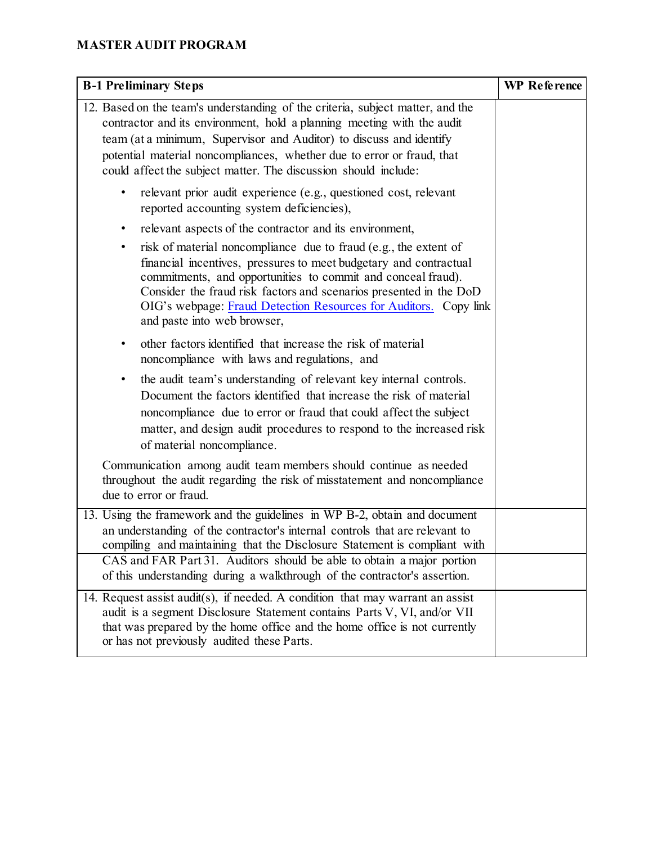| <b>B-1 Preliminary Steps</b>                                                                                                                                                                                                                                                                                                                                                                | <b>WP</b> Reference |
|---------------------------------------------------------------------------------------------------------------------------------------------------------------------------------------------------------------------------------------------------------------------------------------------------------------------------------------------------------------------------------------------|---------------------|
| 12. Based on the team's understanding of the criteria, subject matter, and the<br>contractor and its environment, hold a planning meeting with the audit<br>team (at a minimum, Supervisor and Auditor) to discuss and identify<br>potential material noncompliances, whether due to error or fraud, that<br>could affect the subject matter. The discussion should include:                |                     |
| relevant prior audit experience (e.g., questioned cost, relevant<br>reported accounting system deficiencies),                                                                                                                                                                                                                                                                               |                     |
| relevant aspects of the contractor and its environment,<br>$\bullet$                                                                                                                                                                                                                                                                                                                        |                     |
| risk of material noncompliance due to fraud (e.g., the extent of<br>$\bullet$<br>financial incentives, pressures to meet budgetary and contractual<br>commitments, and opportunities to commit and conceal fraud).<br>Consider the fraud risk factors and scenarios presented in the DoD<br>OIG's webpage: Fraud Detection Resources for Auditors. Copy link<br>and paste into web browser, |                     |
| other factors identified that increase the risk of material<br>٠<br>noncompliance with laws and regulations, and                                                                                                                                                                                                                                                                            |                     |
| the audit team's understanding of relevant key internal controls.<br>$\bullet$<br>Document the factors identified that increase the risk of material<br>noncompliance due to error or fraud that could affect the subject<br>matter, and design audit procedures to respond to the increased risk<br>of material noncompliance.                                                             |                     |
| Communication among audit team members should continue as needed<br>throughout the audit regarding the risk of misstatement and noncompliance<br>due to error or fraud.                                                                                                                                                                                                                     |                     |
| 13. Using the framework and the guidelines in WP B-2, obtain and document<br>an understanding of the contractor's internal controls that are relevant to<br>compiling and maintaining that the Disclosure Statement is compliant with                                                                                                                                                       |                     |
| CAS and FAR Part 31. Auditors should be able to obtain a major portion<br>of this understanding during a walkthrough of the contractor's assertion.                                                                                                                                                                                                                                         |                     |
| 14. Request assist audit(s), if needed. A condition that may warrant an assist<br>audit is a segment Disclosure Statement contains Parts V, VI, and/or VII<br>that was prepared by the home office and the home office is not currently<br>or has not previously audited these Parts.                                                                                                       |                     |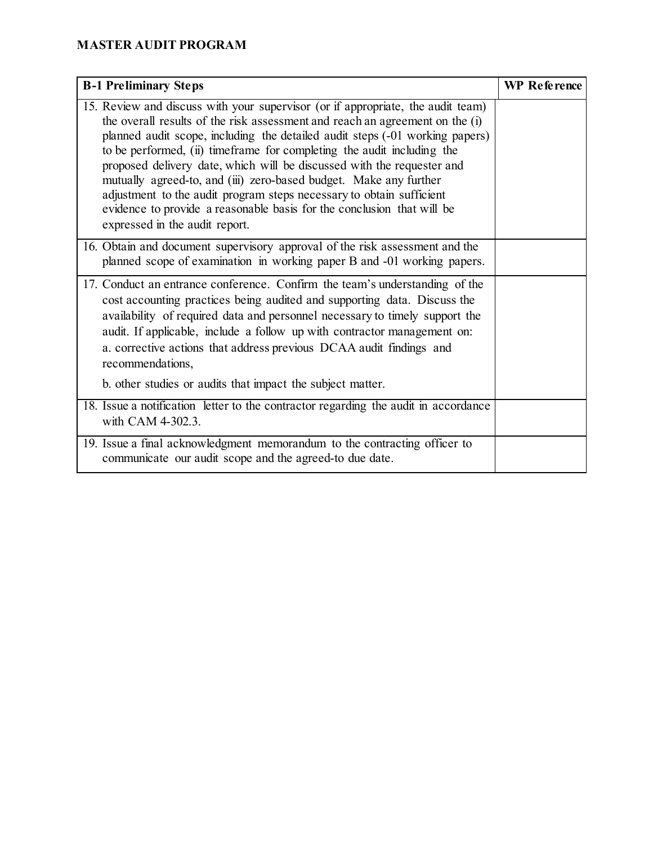| <b>B-1 Preliminary Steps</b>                                                                                                                                                                                                                                                                                                                                                                                                                                                                                                                                                                                                                                  | <b>WP</b> Reference |
|---------------------------------------------------------------------------------------------------------------------------------------------------------------------------------------------------------------------------------------------------------------------------------------------------------------------------------------------------------------------------------------------------------------------------------------------------------------------------------------------------------------------------------------------------------------------------------------------------------------------------------------------------------------|---------------------|
| 15. Review and discuss with your supervisor (or if appropriate, the audit team)<br>the overall results of the risk assessment and reach an agreement on the (i)<br>planned audit scope, including the detailed audit steps (-01 working papers)<br>to be performed, (ii) time frame for completing the audit including the<br>proposed delivery date, which will be discussed with the requester and<br>mutually agreed-to, and (iii) zero-based budget. Make any further<br>adjustment to the audit program steps necessary to obtain sufficient<br>evidence to provide a reasonable basis for the conclusion that will be<br>expressed in the audit report. |                     |
| 16. Obtain and document supervisory approval of the risk assessment and the<br>planned scope of examination in working paper B and -01 working papers.                                                                                                                                                                                                                                                                                                                                                                                                                                                                                                        |                     |
| 17. Conduct an entrance conference. Confirm the team's understanding of the<br>cost accounting practices being audited and supporting data. Discuss the<br>availability of required data and personnel necessary to timely support the<br>audit. If applicable, include a follow up with contractor management on:<br>a. corrective actions that address previous DCAA audit findings and<br>recommendations,<br>b. other studies or audits that impact the subject matter.                                                                                                                                                                                   |                     |
| 18. Issue a notification letter to the contractor regarding the audit in accordance<br>with CAM 4-302.3.                                                                                                                                                                                                                                                                                                                                                                                                                                                                                                                                                      |                     |
| 19. Issue a final acknowledgment memorandum to the contracting officer to<br>communicate our audit scope and the agreed-to due date.                                                                                                                                                                                                                                                                                                                                                                                                                                                                                                                          |                     |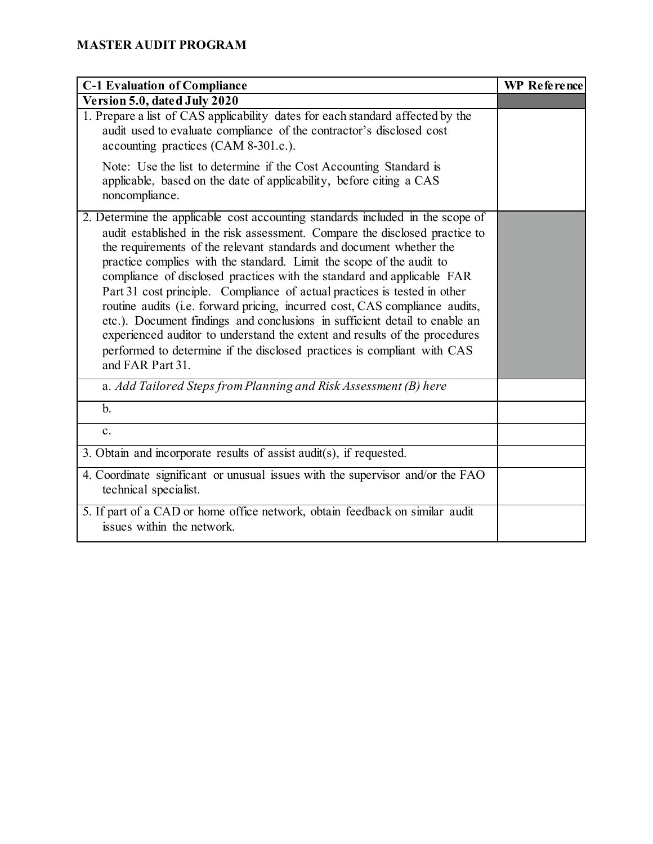| <b>C-1 Evaluation of Compliance</b>                                                                                                                                                                                                                                                                                                                                                                                                                                                                                                                                                                                                                                                                                                                                                                           | WP Reference |
|---------------------------------------------------------------------------------------------------------------------------------------------------------------------------------------------------------------------------------------------------------------------------------------------------------------------------------------------------------------------------------------------------------------------------------------------------------------------------------------------------------------------------------------------------------------------------------------------------------------------------------------------------------------------------------------------------------------------------------------------------------------------------------------------------------------|--------------|
| Version 5.0, dated July 2020                                                                                                                                                                                                                                                                                                                                                                                                                                                                                                                                                                                                                                                                                                                                                                                  |              |
| 1. Prepare a list of CAS applicability dates for each standard affected by the<br>audit used to evaluate compliance of the contractor's disclosed cost<br>accounting practices (CAM 8-301.c.).                                                                                                                                                                                                                                                                                                                                                                                                                                                                                                                                                                                                                |              |
| Note: Use the list to determine if the Cost Accounting Standard is<br>applicable, based on the date of applicability, before citing a CAS<br>noncompliance.                                                                                                                                                                                                                                                                                                                                                                                                                                                                                                                                                                                                                                                   |              |
| 2. Determine the applicable cost accounting standards included in the scope of<br>audit established in the risk assessment. Compare the disclosed practice to<br>the requirements of the relevant standards and document whether the<br>practice complies with the standard. Limit the scope of the audit to<br>compliance of disclosed practices with the standard and applicable FAR<br>Part 31 cost principle. Compliance of actual practices is tested in other<br>routine audits (i.e. forward pricing, incurred cost, CAS compliance audits,<br>etc.). Document findings and conclusions in sufficient detail to enable an<br>experienced auditor to understand the extent and results of the procedures<br>performed to determine if the disclosed practices is compliant with CAS<br>and FAR Part 31. |              |
| a. Add Tailored Steps from Planning and Risk Assessment (B) here                                                                                                                                                                                                                                                                                                                                                                                                                                                                                                                                                                                                                                                                                                                                              |              |
| $\mathbf{b}$ .                                                                                                                                                                                                                                                                                                                                                                                                                                                                                                                                                                                                                                                                                                                                                                                                |              |
| $\mathbf{c}$ .                                                                                                                                                                                                                                                                                                                                                                                                                                                                                                                                                                                                                                                                                                                                                                                                |              |
| 3. Obtain and incorporate results of assist audit(s), if requested.                                                                                                                                                                                                                                                                                                                                                                                                                                                                                                                                                                                                                                                                                                                                           |              |
| 4. Coordinate significant or unusual issues with the supervisor and/or the FAO<br>technical specialist.                                                                                                                                                                                                                                                                                                                                                                                                                                                                                                                                                                                                                                                                                                       |              |
| 5. If part of a CAD or home office network, obtain feedback on similar audit<br>issues within the network.                                                                                                                                                                                                                                                                                                                                                                                                                                                                                                                                                                                                                                                                                                    |              |